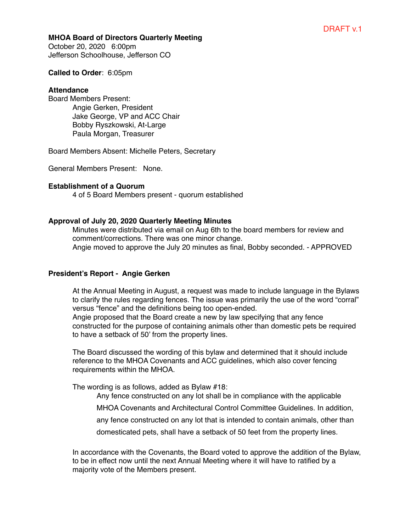### **MHOA Board of Directors Quarterly Meeting**

October 20, 2020 6:00pm Jefferson Schoolhouse, Jefferson CO

#### **Called to Order**: 6:05pm

#### **Attendance**

Board Members Present: Angie Gerken, President Jake George, VP and ACC Chair Bobby Ryszkowski, At-Large Paula Morgan, Treasurer

Board Members Absent: Michelle Peters, Secretary

General Members Present: None.

### **Establishment of a Quorum**

4 of 5 Board Members present - quorum established

## **Approval of July 20, 2020 Quarterly Meeting Minutes**

Minutes were distributed via email on Aug 6th to the board members for review and comment/corrections. There was one minor change. Angie moved to approve the July 20 minutes as final, Bobby seconded. - APPROVED

## **President's Report - Angie Gerken**

At the Annual Meeting in August, a request was made to include language in the Bylaws to clarify the rules regarding fences. The issue was primarily the use of the word "corral" versus "fence" and the definitions being too open-ended.

Angie proposed that the Board create a new by law specifying that any fence constructed for the purpose of containing animals other than domestic pets be required to have a setback of 50' from the property lines.

The Board discussed the wording of this bylaw and determined that it should include reference to the MHOA Covenants and ACC guidelines, which also cover fencing requirements within the MHOA.

The wording is as follows, added as Bylaw #18:

Any fence constructed on any lot shall be in compliance with the applicable

MHOA Covenants and Architectural Control Committee Guidelines. In addition,

any fence constructed on any lot that is intended to contain animals, other than

domesticated pets, shall have a setback of 50 feet from the property lines.

In accordance with the Covenants, the Board voted to approve the addition of the Bylaw, to be in effect now until the next Annual Meeting where it will have to ratified by a majority vote of the Members present.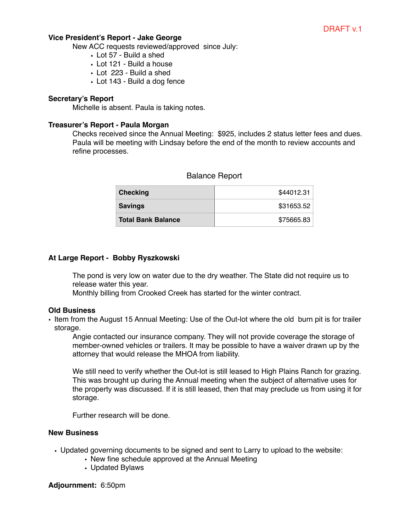## **Vice President's Report - Jake George**

New ACC requests reviewed/approved since July:

- Lot 57 Build a shed
- Lot 121 Build a house
- Lot 223 Build a shed
- Lot 143 Build a dog fence

## **Secretary's Report**

Michelle is absent. Paula is taking notes.

## **Treasurer's Report - Paula Morgan**

Checks received since the Annual Meeting: \$925, includes 2 status letter fees and dues. Paula will be meeting with Lindsay before the end of the month to review accounts and refine processes.

| Checking                  | \$44012.31 |
|---------------------------|------------|
| <b>Savings</b>            | \$31653.52 |
| <b>Total Bank Balance</b> | \$75665.83 |

# Balance Report

### **At Large Report - Bobby Ryszkowski**

The pond is very low on water due to the dry weather. The State did not require us to release water this year.

Monthly billing from Crooked Creek has started for the winter contract.

### **Old Business**

• Item from the August 15 Annual Meeting: Use of the Out-lot where the old burn pit is for trailer storage.

Angie contacted our insurance company. They will not provide coverage the storage of member-owned vehicles or trailers. It may be possible to have a waiver drawn up by the attorney that would release the MHOA from liability.

We still need to verify whether the Out-lot is still leased to High Plains Ranch for grazing. This was brought up during the Annual meeting when the subject of alternative uses for the property was discussed. If it is still leased, then that may preclude us from using it for storage.

Further research will be done.

## **New Business**

- Updated governing documents to be signed and sent to Larry to upload to the website:
	- New fine schedule approved at the Annual Meeting
	- Updated Bylaws

**Adjournment:** 6:50pm